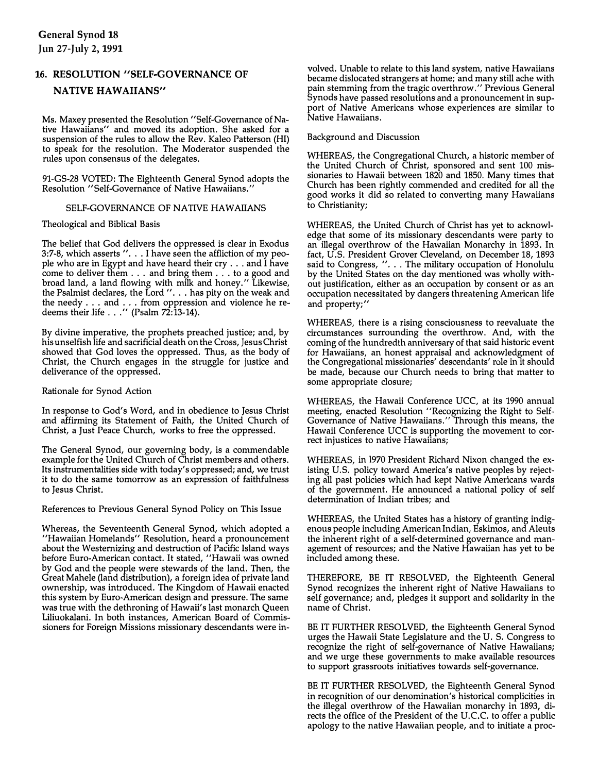## 16. RESOLUTION "SELF-GOVERNANCE OF **NATIVE HAWAIIANS"**

Ms. Maxey presented the Resolution "Self-Governance of Native Hawaiians" and moved its adoption. She asked for a suspension of the rules to allow the Rev. Kaleo Patterson (HI) to speak for the resolution. The Moderator suspended the rules upon consensus of the delegates.

91-GS-28 VOTED: The Eighteenth General Synod adopts the Resolution "Self-Governance of Native Hawaiians."

## SELF-GOVERNANCE OF NATIVE HAWAIIANS

Theological and Biblical Basis

The belief that God delivers the oppressed is clear in Exodus 3:7-8, which asserts "...I have seen the affliction of my people who are in Egypt and have heard their cry .. . and I have come to deliver them ...and bring them ...to a good and broad land, a land flowing with milk and honey." Likewise, the Psalmist declares, the Lord ". . . has pity on the weak and the needy ... and ... from oppression and violence he redeems their life  $\ldots$  " (Psalm 72:13-14).

By divine imperative, the prophets preached justice; and, by hisunselfish life and sacrificial death onthe Cross, JesusChrist showed that God loves the oppressed.Thus, as the body of Christ, the Church engages in the struggle for justice and deliverance of the oppressed.

Rationale for Synod Action

In response to God's Word, and in obedience to Jesus Christ and affirming its Statement of Faith, the United Church of Christ, a Just Peace Church, works to free the oppressed.

The General Synod, our governing body, is a commendable example for the United Church of Christ members and others. Its instrumentalities side with today's oppressed; and, we trust it to do the same tomorrow as an expression of faithfulness to Jesus Christ.

References to Previous General Synod Policy on This Issue

Whereas, the Seventeenth General Synod, which adopted a "Hawaiian Homelands" Resolution, heard a pronouncement about the Westernizing and destruction of Pacific Island ways before Euro-American contact.It stated, "Hawaii was owned by God and the people were stewards of the land. Then, the Great Mahele (land distribution), a foreign idea of private land ownership, was introduced. The Kingdom of Hawaii enacted this system by Euro-American design and pressure.The same was true with the dethroning of Hawaii's last monarch Queen Liliuokalani. In both instances, American Board of Commissioners for Foreign Missions missionary descendants were involved. Unable to relate to this land system, native Hawaiians became dislocated strangers at home; and many still ache with pain stemming from the tragic overthrow." Previous General Synods have passed resolutions and a pronouncement in support of Native Americans whose experiences are similar to Native Hawaiians.

Background and Discussion

WHEREAS, the Congregational Church, a historic member of the United Church of Christ, sponsored and sent 100 missionaries to Hawaii between 1820 and 1850. Many times that Church has been rightly commended and credited for all the good works it did so related to converting many Hawaiians to Christianity;

WHEREAS, the United Church of Christ has yet to acknowledge that some of its missionary descendants were party to an illegal overthrow of the Hawaiian Monarchy in 1893. In fact, U.S. President Grover Cleveland, on December 18, 1893 said to Congress, ". . . The military occupation of Honolulu by the United States on the day mentioned was wholly without justification, either as an occupation by consent or as an occupation necessitated by dangers threatening American life and property;"

WHEREAS, there is a rising consciousness to reevaluate the circumstances surrounding the overthrow. And, with the coming of the hundredth anniversary of that said historic event for Hawaiians, an honest appraisal and acknowledgment of the Congregational missionaries' descendants' role in it should be made, because our Church needs to bring that matter to some appropriate closure;

WHEREAS, the Hawaii Conference UCC, at its 1990 annual meeting, enacted Resolution "Recognizing the Right to Self-Governance of Native Hawaiians." Through this means, the Hawaii Conference UCC is supporting the movement to correct injustices to native Hawaiians;

WHEREAS, in 1970 President Richard Nixon changed the existing U.S. policy toward America's native peoples by rejecting all past policies which had kept Native Americans wards of the government. He announced a national policy of self determination of Indian tribes; and

WHEREAS, the United States has a history of granting indigenous people including American Indian, Eskimos, and Aleuts the inherent right of a self-determined governance and management of resources; and the Native Hawaiian has yet to be included among these.

THEREFORE, BE IT RESOLVED, the Eighteenth General Synod recognizes the inherent right of Native Hawaiians to self governance; and, pledges it support and solidarity in the name of Christ.

BE IT FURTHER RESOLVED, the Eighteenth General Synod urges the Hawaii State Legislature and the U. S. Congress to recognize the right of self-governance of Native Hawaiians; and we urge these governments to make available resources to support grassroots initiatives towards self-governance.

BE IT FURTHER RESOLVED, the Eighteenth General Synod in recognition of our denomination's historical complicities in the illegal overthrow of the Hawaiian monarchy in 1893, directs the office of the President of the U.C.C. to offer a public apology to the native Hawaiian people, and to initiate a proc